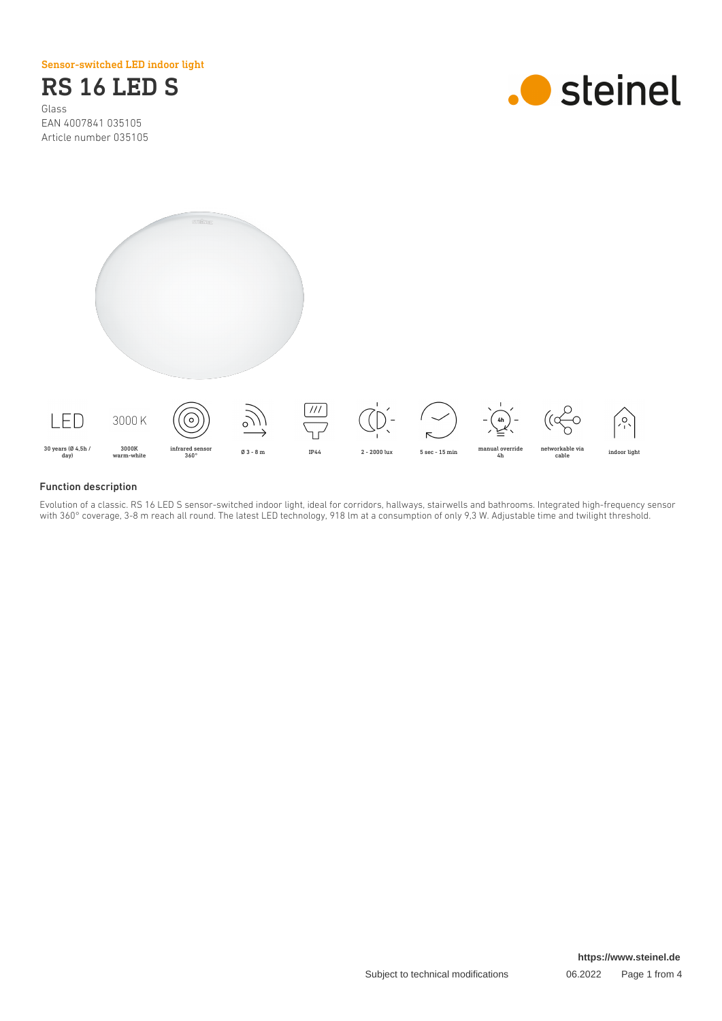Sensor-switched LED indoor light

# RS 16 LED S Glass

EAN 4007841 035105 Article number 035105





### Function description

Evolution of a classic. RS 16 LED S sensor-switched indoor light, ideal for corridors, hallways, stairwells and bathrooms. Integrated high-frequency sensor with 360° coverage, 3-8 m reach all round. The latest LED technology, 918 lm at a consumption of only 9,3 W. Adjustable time and twilight threshold.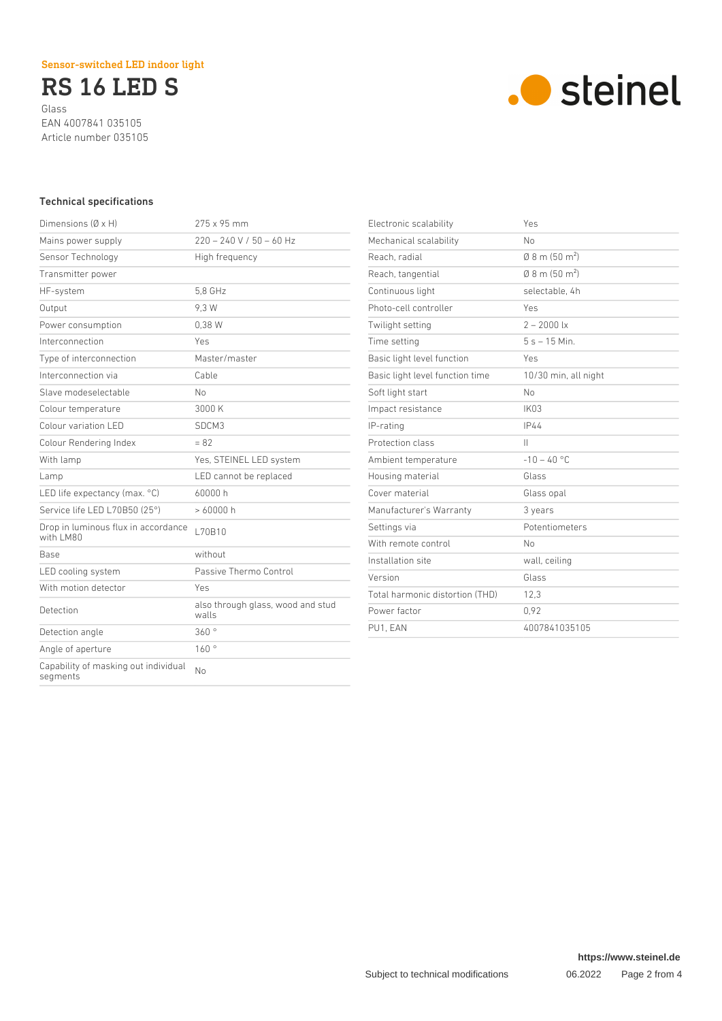RS 16 LED S Glass EAN 4007841 035105 Article number 035105



# Technical specifications

| Dimensions $(\emptyset \times H)$                | 275 x 95 mm                                |
|--------------------------------------------------|--------------------------------------------|
| Mains power supply                               | $220 - 240$ V / 50 - 60 Hz                 |
| Sensor Technology                                | High frequency                             |
| Transmitter power                                |                                            |
| HF-system                                        | 5.8 GHz                                    |
| Output                                           | 9.3 W                                      |
| Power consumption                                | 0.38W                                      |
| Interconnection                                  | Yes                                        |
| Type of interconnection                          | Master/master                              |
| Interconnection via                              | Cable                                      |
| Slave modeselectable                             | Nο                                         |
| Colour temperature                               | 3000 K                                     |
| Colour variation LED                             | SDCM3                                      |
| Colour Rendering Index                           | $= 82$                                     |
| With lamp                                        | Yes, STEINEL LED system                    |
| Lamp                                             | LED cannot be replaced                     |
| LED life expectancy (max. °C)                    | 60000 h                                    |
| Service life LED L70B50 (25°)                    | >60000h                                    |
| Drop in luminous flux in accordance<br>with LM80 | L70B10                                     |
| Base                                             | without                                    |
| LED cooling system                               | Passive Thermo Control                     |
| With motion detector                             | Yes                                        |
| Detection                                        | also through glass, wood and stud<br>walls |
| Detection angle                                  | 360°                                       |
| Angle of aperture                                | 160°                                       |
| Capability of masking out individual<br>segments | No                                         |
|                                                  |                                            |

| Yes                          |
|------------------------------|
| No                           |
| $0.8$ m (50 m <sup>2</sup> ) |
| $0.8$ m (50 m <sup>2</sup> ) |
| selectable, 4h               |
| Yes                          |
| $2 - 2000$ lx                |
| $5s - 15$ Min.               |
| Yes                          |
| 10/30 min, all night         |
| No                           |
| <b>IK03</b>                  |
| <b>IP44</b>                  |
| Ш                            |
| $-10 - 40$ °C                |
| Glass                        |
| Glass opal                   |
| 3 years                      |
| Potentiometers               |
| No                           |
| wall, ceiling                |
| Glass                        |
| 12,3                         |
| 0,92                         |
| 4007841035105                |
|                              |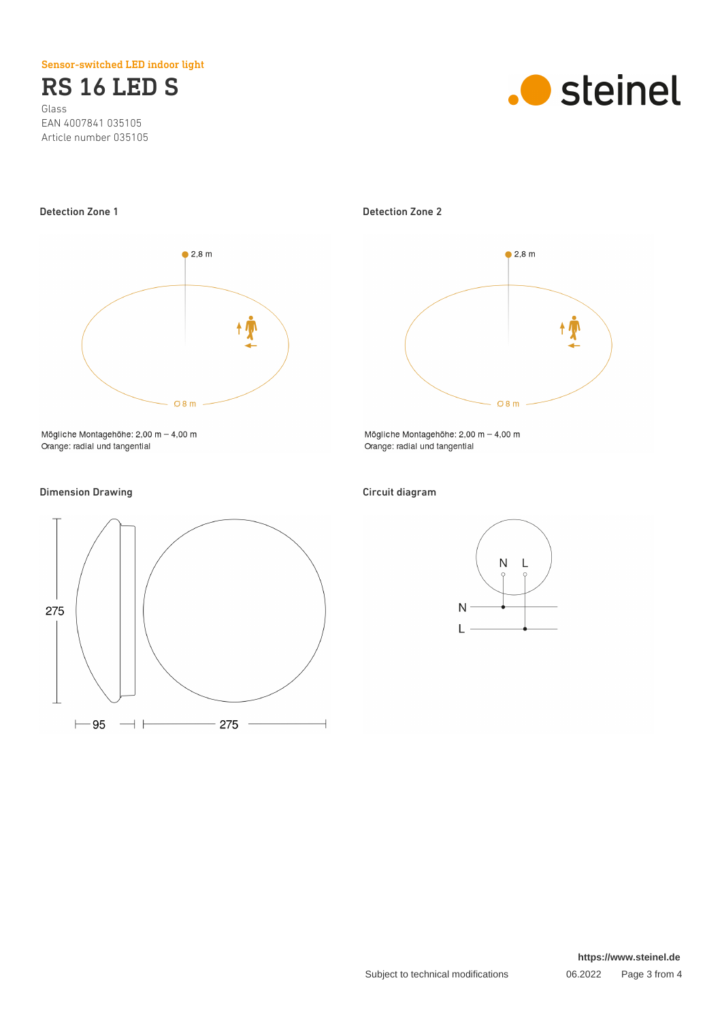Sensor-switched LED indoor light

RS 16 LED S Glass EAN 4007841 035105 Article number 035105





Mögliche Montagehöhe:  $2,00 \text{ m} - 4,00 \text{ m}$ Orange: radial und tangential

# Dimension Drawing **Circuit diagram**



Detection Zone 1 Detection Zone 2



Mögliche Montagehöhe:  $2,00 \text{ m} - 4,00 \text{ m}$ Orange: radial und tangential



**https://www.steinel.de**